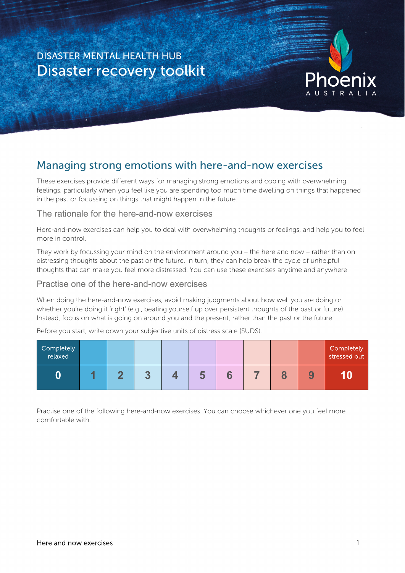# DISASTER MENTAL HEALTH HUB Disaster recovery toolkit



# Managing strong emotions with here-and-now exercises

These exercises provide different ways for managing strong emotions and coping with overwhelming feelings, particularly when you feel like you are spending too much time dwelling on things that happened in the past or focussing on things that might happen in the future.

### The rationale for the here-and-now exercises

Here-and-now exercises can help you to deal with overwhelming thoughts or feelings, and help you to feel more in control.

They work by focussing your mind on the environment around you – the here and now – rather than on distressing thoughts about the past or the future. In turn, they can help break the cycle of unhelpful thoughts that can make you feel more distressed. You can use these exercises anytime and anywhere.

## Practise one of the here-and-now exercises

When doing the here-and-now exercises, avoid making judgments about how well you are doing or whether you're doing it 'right' (e.g., beating yourself up over persistent thoughts of the past or future). Instead, focus on what is going on around you and the present, rather than the past or the future.

Before you start, write down your subjective units of distress scale (SUDS).

| Completely<br>relaxed |  |  |   |  |   | Completely<br>stressed out |
|-----------------------|--|--|---|--|---|----------------------------|
|                       |  |  | Ю |  | 9 |                            |

Practise one of the following here-and-now exercises. You can choose whichever one you feel more comfortable with.